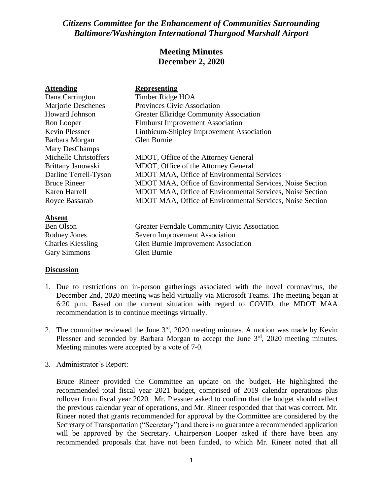# *Citizens Committee for the Enhancement of Communities Surrounding Baltimore/Washington International Thurgood Marshall Airport*

# **Meeting Minutes December 2, 2020**

| <b>Attending</b>         | <b>Representing</b>                                       |
|--------------------------|-----------------------------------------------------------|
| Dana Carrington          | Timber Ridge HOA                                          |
| Marjorie Deschenes       | Provinces Civic Association                               |
| Howard Johnson           | <b>Greater Elkridge Community Association</b>             |
| Ron Looper               | <b>Elmhurst Improvement Association</b>                   |
| <b>Kevin Plessner</b>    | Linthicum-Shipley Improvement Association                 |
| Barbara Morgan           | Glen Burnie                                               |
| Mary DesChamps           |                                                           |
| Michelle Christoffers    | MDOT, Office of the Attorney General                      |
| Brittany Janowski        | MDOT, Office of the Attorney General                      |
| Darline Terrell-Tyson    | <b>MDOT MAA, Office of Environmental Services</b>         |
| <b>Bruce Rineer</b>      | MDOT MAA, Office of Environmental Services, Noise Section |
| Karen Harrell            | MDOT MAA, Office of Environmental Services, Noise Section |
| Royce Bassarab           | MDOT MAA, Office of Environmental Services, Noise Section |
| <b>Absent</b>            |                                                           |
| <b>Ben Olson</b>         | Greater Ferndale Community Civic Association              |
| Rodney Jones             | Severn Improvement Association                            |
| <b>Charles Kiessling</b> | Glen Burnie Improvement Association                       |
| <b>Gary Simmons</b>      | Glen Burnie                                               |

### **Discussion**

- 1. Due to restrictions on in-person gatherings associated with the novel coronavirus, the December 2nd, 2020 meeting was held virtually via Microsoft Teams. The meeting began at 6:20 p.m. Based on the current situation with regard to COVID, the MDOT MAA recommendation is to continue meetings virtually.
- 2. The committee reviewed the June  $3<sup>rd</sup>$ , 2020 meeting minutes. A motion was made by Kevin Plessner and seconded by Barbara Morgan to accept the June 3<sup>rd</sup>, 2020 meeting minutes. Meeting minutes were accepted by a vote of 7-0.
- 3. Administrator's Report:

Bruce Rineer provided the Committee an update on the budget. He highlighted the recommended total fiscal year 2021 budget, comprised of 2019 calendar operations plus rollover from fiscal year 2020. Mr. Plessner asked to confirm that the budget should reflect the previous calendar year of operations, and Mr. Rineer responded that that was correct. Mr. Rineer noted that grants recommended for approval by the Committee are considered by the Secretary of Transportation ("Secretary") and there is no guarantee a recommended application will be approved by the Secretary. Chairperson Looper asked if there have been any recommended proposals that have not been funded, to which Mr. Rineer noted that all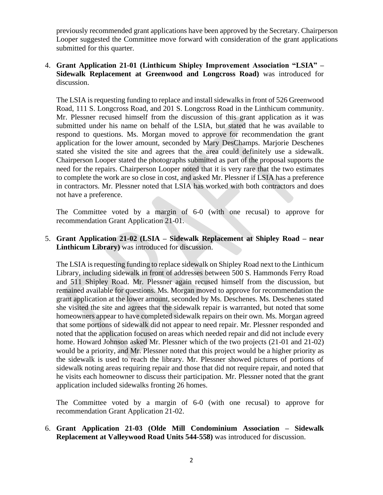previously recommended grant applications have been approved by the Secretary. Chairperson Looper suggested the Committee move forward with consideration of the grant applications submitted for this quarter.

# 4. **Grant Application 21-01 (Linthicum Shipley Improvement Association "LSIA" – Sidewalk Replacement at Greenwood and Longcross Road)** was introduced for discussion.

The LSIA is requesting funding to replace and install sidewalks in front of 526 Greenwood Road, 111 S. Longcross Road, and 201 S. Longcross Road in the Linthicum community. Mr. Plessner recused himself from the discussion of this grant application as it was submitted under his name on behalf of the LSIA, but stated that he was available to respond to questions. Ms. Morgan moved to approve for recommendation the grant application for the lower amount, seconded by Mary DesChamps. Marjorie Deschenes stated she visited the site and agrees that the area could definitely use a sidewalk. Chairperson Looper stated the photographs submitted as part of the proposal supports the need for the repairs. Chairperson Looper noted that it is very rare that the two estimates to complete the work are so close in cost, and asked Mr. Plessner if LSIA has a preference in contractors. Mr. Plessner noted that LSIA has worked with both contractors and does not have a preference.

The Committee voted by a margin of 6-0 (with one recusal) to approve for recommendation Grant Application 21-01.

5. **Grant Application 21-02 (LSIA – Sidewalk Replacement at Shipley Road – near Linthicum Library)** was introduced for discussion.

The LSIA is requesting funding to replace sidewalk on Shipley Road next to the Linthicum Library, including sidewalk in front of addresses between 500 S. Hammonds Ferry Road and 511 Shipley Road. Mr. Plessner again recused himself from the discussion, but remained available for questions. Ms. Morgan moved to approve for recommendation the grant application at the lower amount, seconded by Ms. Deschenes. Ms. Deschenes stated she visited the site and agrees that the sidewalk repair is warranted, but noted that some homeowners appear to have completed sidewalk repairs on their own. Ms. Morgan agreed that some portions of sidewalk did not appear to need repair. Mr. Plessner responded and noted that the application focused on areas which needed repair and did not include every home. Howard Johnson asked Mr. Plessner which of the two projects (21-01 and 21-02) would be a priority, and Mr. Plessner noted that this project would be a higher priority as the sidewalk is used to reach the library. Mr. Plessner showed pictures of portions of sidewalk noting areas requiring repair and those that did not require repair, and noted that he visits each homeowner to discuss their participation. Mr. Plessner noted that the grant application included sidewalks fronting 26 homes.

The Committee voted by a margin of 6-0 (with one recusal) to approve for recommendation Grant Application 21-02.

# 6. **Grant Application 21-03 (Olde Mill Condominium Association – Sidewalk Replacement at Valleywood Road Units 544-558)** was introduced for discussion.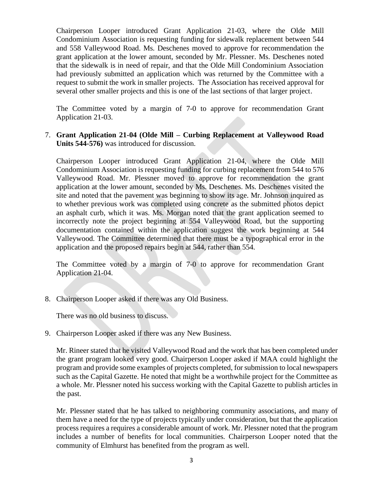Chairperson Looper introduced Grant Application 21-03, where the Olde Mill Condominium Association is requesting funding for sidewalk replacement between 544 and 558 Valleywood Road. Ms. Deschenes moved to approve for recommendation the grant application at the lower amount, seconded by Mr. Plessner. Ms. Deschenes noted that the sidewalk is in need of repair, and that the Olde Mill Condominium Association had previously submitted an application which was returned by the Committee with a request to submit the work in smaller projects. The Association has received approval for several other smaller projects and this is one of the last sections of that larger project.

The Committee voted by a margin of 7-0 to approve for recommendation Grant Application 21-03.

# 7. **Grant Application 21-04 (Olde Mill – Curbing Replacement at Valleywood Road Units 544-576)** was introduced for discussion.

Chairperson Looper introduced Grant Application 21-04, where the Olde Mill Condominium Association is requesting funding for curbing replacement from 544 to 576 Valleywood Road. Mr. Plessner moved to approve for recommendation the grant application at the lower amount, seconded by Ms. Deschenes. Ms. Deschenes visited the site and noted that the pavement was beginning to show its age. Mr. Johnson inquired as to whether previous work was completed using concrete as the submitted photos depict an asphalt curb, which it was. Ms. Morgan noted that the grant application seemed to incorrectly note the project beginning at 554 Valleywood Road, but the supporting documentation contained within the application suggest the work beginning at 544 Valleywood. The Committee determined that there must be a typographical error in the application and the proposed repairs begin at 544, rather than 554.

The Committee voted by a margin of 7-0 to approve for recommendation Grant Application 21-04.

8. Chairperson Looper asked if there was any Old Business.

There was no old business to discuss.

9. Chairperson Looper asked if there was any New Business.

Mr. Rineer stated that he visited Valleywood Road and the work that has been completed under the grant program looked very good. Chairperson Looper asked if MAA could highlight the program and provide some examples of projects completed, for submission to local newspapers such as the Capital Gazette. He noted that might be a worthwhile project for the Committee as a whole. Mr. Plessner noted his success working with the Capital Gazette to publish articles in the past.

Mr. Plessner stated that he has talked to neighboring community associations, and many of them have a need for the type of projects typically under consideration, but that the application process requires a requires a considerable amount of work. Mr. Plessner noted that the program includes a number of benefits for local communities. Chairperson Looper noted that the community of Elmhurst has benefited from the program as well.